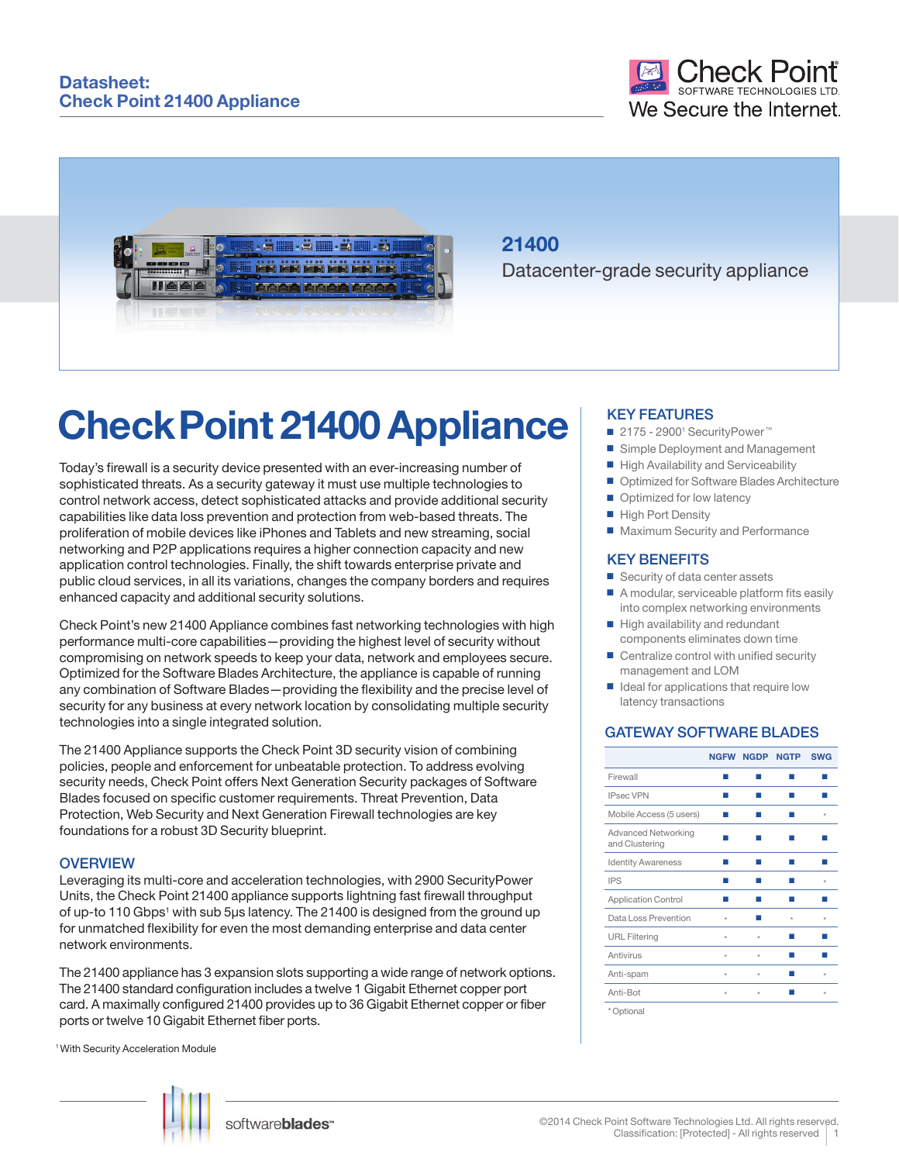

# **21400**

Datacenter-grade security appliance

# **Check Point 21400 Appliance**

Today's firewall is a security device presented with an ever-increasing number of sophisticated threats. As a security gateway it must use multiple technologies to control network access, detect sophisticated attacks and provide additional security capabilities like data loss prevention and protection from web-based threats. The proliferation of mobile devices like iPhones and Tablets and new streaming, social networking and P2P applications requires a higher connection capacity and new application control technologies. Finally, the shift towards enterprise private and public cloud services, in all its variations, changes the company borders and requires enhanced capacity and additional security solutions.

Check Point's new 21400 Appliance combines fast networking technologies with high performance multi-core capabilities—providing the highest level of security without compromising on network speeds to keep your data, network and employees secure. Optimized for the Software Blades Architecture, the appliance is capable of running any combination of Software Blades—providing the flexibility and the precise level of security for any business at every network location by consolidating multiple security technologies into a single integrated solution.

The 21400 Appliance supports the Check Point 3D security vision of combining policies, people and enforcement for unbeatable protection. To address evolving security needs, Check Point offers Next Generation Security packages of Software Blades focused on specific customer requirements. Threat Prevention, Data Protection, Web Security and Next Generation Firewall technologies are key foundations for a robust 3D Security blueprint.

#### **OVERVIEW**

Leveraging its multi-core and acceleration technologies, with 2900 SecurityPower Units, the Check Point 21400 appliance supports lightning fast firewall throughput of up-to 110 Gbps<sup>1</sup> with sub 5µs latency. The 21400 is designed from the ground up for unmatched flexibility for even the most demanding enterprise and data center network environments.

The 21400 appliance has 3 expansion slots supporting a wide range of network options. The 21400 standard configuration includes a twelve 1 Gigabit Ethernet copper port card. A maximally configured 21400 provides up to 36 Gigabit Ethernet copper or fiber ports or twelve 10 Gigabit Ethernet fiber ports.

1 With Security Acceleration Module



## softwareblades<sup>-</sup>

#### ©2014 Check Point Software Technologies Ltd. All rights reserved. Classification: [Protected] - All rights reserved

#### KEY FEATURES

- 2175 2900<sup>1</sup> SecurityPower<sup>™</sup>
- Simple Deployment and Management
- High Availability and Serviceability
- Optimized for Software Blades Architecture
- $\blacksquare$  Optimized for low latency
- High Port Density
- Maximum Security and Performance

#### KEY BENEFITS

- $\blacksquare$  Security of data center assets
- A modular, serviceable platform fits easily into complex networking environments
- $\blacksquare$  High availability and redundant components eliminates down time
- $\blacksquare$  Centralize control with unified security management and LOM
- $\blacksquare$  Ideal for applications that require low latency transactions

### GATEWAY SOFTWARE BLADES

|                                       |         | <b>NGFW NGDP</b> | <b>NGTP</b> | <b>SWG</b> |
|---------------------------------------|---------|------------------|-------------|------------|
| Firewall                              |         |                  |             |            |
| <b>IPsec VPN</b>                      |         |                  |             |            |
| Mobile Access (5 users)               |         |                  |             | $\star$    |
| Advanced Networking<br>and Clustering |         |                  |             |            |
| <b>Identity Awareness</b>             |         |                  |             |            |
| <b>IPS</b>                            |         |                  |             | $\star$    |
| <b>Application Control</b>            |         |                  |             |            |
| Data Loss Prevention                  | $\star$ |                  | $\star$     | $\star$    |
| <b>URL Filtering</b>                  | $\star$ | $\star$          |             |            |
| Antivirus                             | $\star$ | $\star$          |             |            |
| Anti-spam                             | $\star$ | $\star$          |             | $\star$    |
| Anti-Bot                              | $\star$ | $\star$          |             | $\star$    |
| * Optional                            |         |                  |             |            |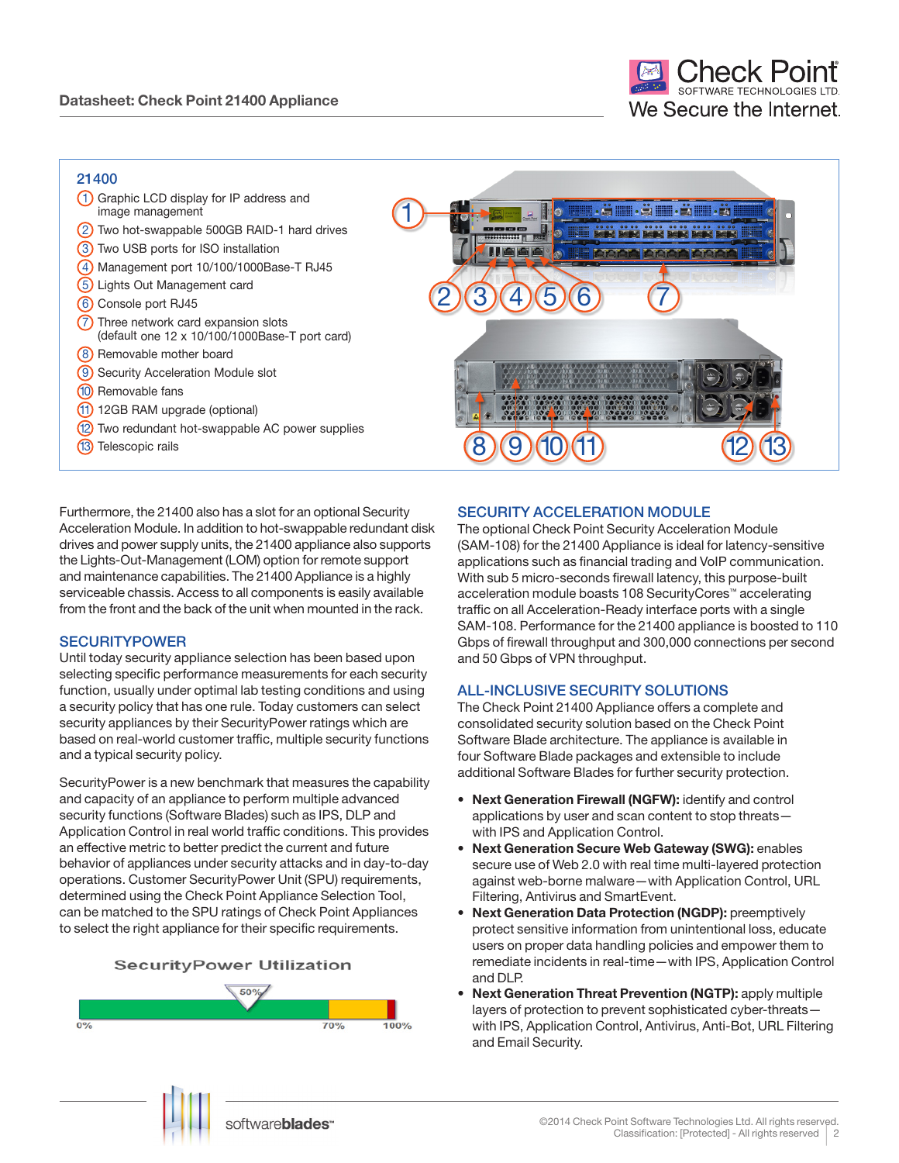### 21400

| 21700                                                                                |                 |
|--------------------------------------------------------------------------------------|-----------------|
| Graphic LCD display for IP address and<br>image management                           | dilli alle alle |
| Two hot-swappable 500GB RAID-1 hard drives                                           |                 |
| Two USB ports for ISO installation<br>(3)                                            |                 |
| Management port 10/100/1000Base-T RJ45                                               |                 |
| Lights Out Management card<br>(5)                                                    |                 |
| Console port RJ45<br>(6)                                                             |                 |
| Three network card expansion slots<br>(default one 12 x 10/100/1000Base-T port card) |                 |
| (8) Removable mother board                                                           |                 |
| Security Acceleration Module slot                                                    |                 |
| (10) Removable fans                                                                  |                 |
| 12GB RAM upgrade (optional)                                                          |                 |
| Two redundant hot-swappable AC power supplies<br>(12)                                |                 |
| Telescopic rails                                                                     |                 |
|                                                                                      |                 |

Furthermore, the 21400 also has a slot for an optional Security Acceleration Module. In addition to hot-swappable redundant disk drives and power supply units, the 21400 appliance also supports the Lights-Out-Management (LOM) option for remote support and maintenance capabilities. The 21400 Appliance is a highly serviceable chassis. Access to all components is easily available from the front and the back of the unit when mounted in the rack.

#### **SECURITYPOWER**

Until today security appliance selection has been based upon selecting specific performance measurements for each security function, usually under optimal lab testing conditions and using a security policy that has one rule. Today customers can select security appliances by their SecurityPower ratings which are based on real-world customer traffic, multiple security functions and a typical security policy.

SecurityPower is a new benchmark that measures the capability and capacity of an appliance to perform multiple advanced security functions (Software Blades) such as IPS, DLP and Application Control in real world traffic conditions. This provides an effective metric to better predict the current and future behavior of appliances under security attacks and in day-to-day operations. Customer SecurityPower Unit (SPU) requirements, determined using the Check Point Appliance Selection Tool, can be matched to the SPU ratings of Check Point Appliances to select the right appliance for their specific requirements.





### SECURITY ACCELERATION MODULE

The optional Check Point Security Acceleration Module (SAM-108) for the 21400 Appliance is ideal for latency-sensitive applications such as financial trading and VoIP communication. With sub 5 micro-seconds firewall latency, this purpose-built acceleration module boasts 108 SecurityCores™ accelerating traffic on all Acceleration-Ready interface ports with a single SAM-108. Performance for the 21400 appliance is boosted to 110 Gbps of firewall throughput and 300,000 connections per second and 50 Gbps of VPN throughput.

#### ALL-INCLUSIVE SECURITY SOLUTIONS

The Check Point 21400 Appliance offers a complete and consolidated security solution based on the Check Point Software Blade architecture. The appliance is available in four Software Blade packages and extensible to include additional Software Blades for further security protection.

- **• Next Generation Firewall (NGFW):** identify and control applications by user and scan content to stop threats with IPS and Application Control.
- **Next Generation Secure Web Gateway (SWG): enables** secure use of Web 2.0 with real time multi-layered protection against web-borne malware—with Application Control, URL Filtering, Antivirus and SmartEvent.
- **Next Generation Data Protection (NGDP): preemptively** protect sensitive information from unintentional loss, educate users on proper data handling policies and empower them to remediate incidents in real-time—with IPS, Application Control and DLP.
- **Next Generation Threat Prevention (NGTP): apply multiple** layers of protection to prevent sophisticated cyber-threats with IPS, Application Control, Antivirus, Anti-Bot, URL Filtering and Email Security.

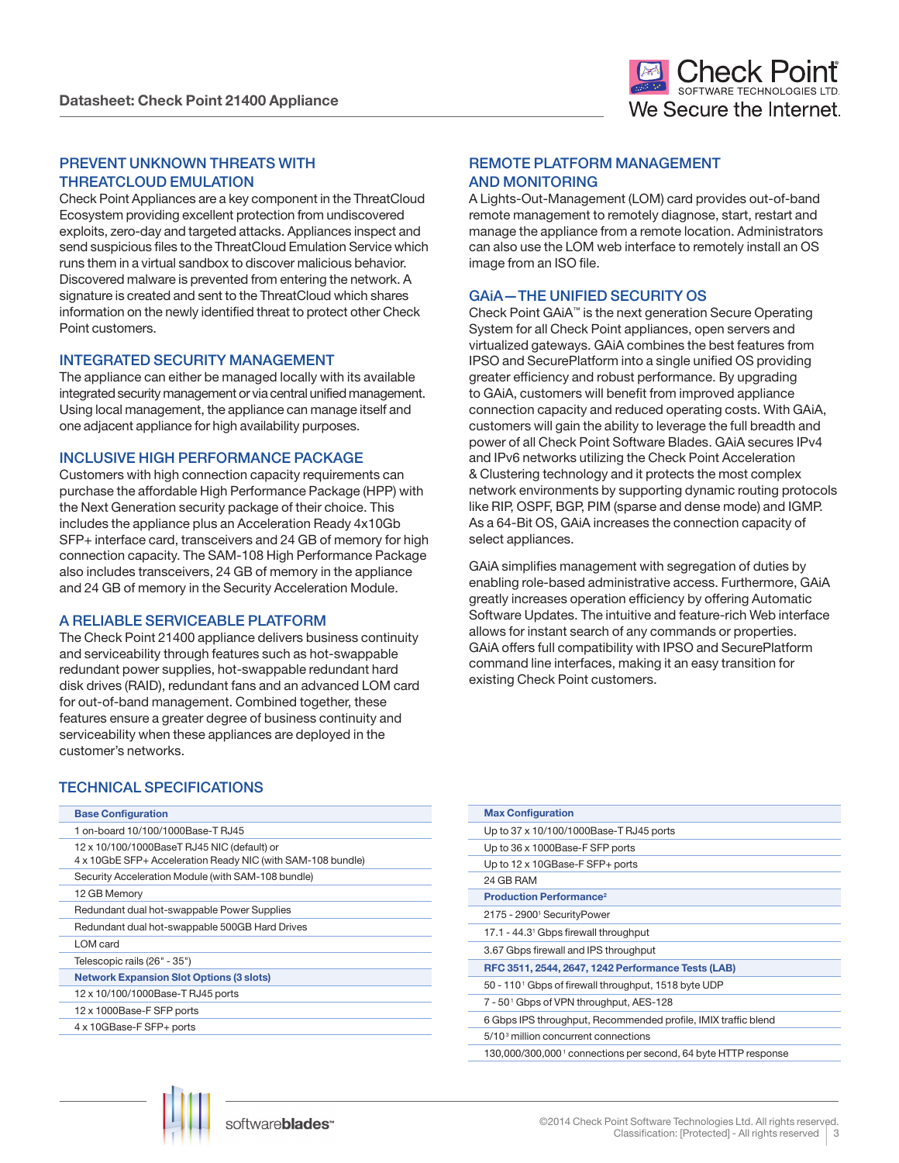#### PREVENT UNKNOWN THREATS WITH THREATCLOUD EMULATION

Check Point Appliances are a key component in the ThreatCloud Ecosystem providing excellent protection from undiscovered exploits, zero-day and targeted attacks. Appliances inspect and send suspicious files to the ThreatCloud Emulation Service which runs them in a virtual sandbox to discover malicious behavior. Discovered malware is prevented from entering the network. A signature is created and sent to the ThreatCloud which shares information on the newly identified threat to protect other Check Point customers.

#### INTEGRATED SECURITY MANAGEMENT

The appliance can either be managed locally with its available integrated security management or via central unified management. Using local management, the appliance can manage itself and one adjacent appliance for high availability purposes.

#### INCLUSIVE HIGH PERFORMANCE PACKAGE

Customers with high connection capacity requirements can purchase the affordable High Performance Package (HPP) with the Next Generation security package of their choice. This includes the appliance plus an Acceleration Ready 4x10Gb SFP+ interface card, transceivers and 24 GB of memory for high connection capacity. The SAM-108 High Performance Package also includes transceivers, 24 GB of memory in the appliance and 24 GB of memory in the Security Acceleration Module.

#### A RELIABLE SERVICEABLE PLATFORM

The Check Point 21400 appliance delivers business continuity and serviceability through features such as hot-swappable redundant power supplies, hot-swappable redundant hard disk drives (RAID), redundant fans and an advanced LOM card for out-of-band management. Combined together, these features ensure a greater degree of business continuity and serviceability when these appliances are deployed in the customer's networks.

#### REMOTE PLATFORM MANAGEMENT AND MONITORING

A Lights-Out-Management (LOM) card provides out-of-band remote management to remotely diagnose, start, restart and manage the appliance from a remote location. Administrators can also use the LOM web interface to remotely install an OS image from an ISO file.

#### GAiA—THE UNIFIED SECURITY OS

Check Point GAiA™ is the next generation Secure Operating System for all Check Point appliances, open servers and virtualized gateways. GAiA combines the best features from IPSO and SecurePlatform into a single unified OS providing greater efficiency and robust performance. By upgrading to GAiA, customers will benefit from improved appliance connection capacity and reduced operating costs. With GAiA, customers will gain the ability to leverage the full breadth and power of all Check Point Software Blades. GAiA secures IPv4 and IPv6 networks utilizing the Check Point Acceleration & Clustering technology and it protects the most complex network environments by supporting dynamic routing protocols like RIP, OSPF, BGP, PIM (sparse and dense mode) and IGMP. As a 64-Bit OS, GAiA increases the connection capacity of select appliances.

GAiA simplifies management with segregation of duties by enabling role-based administrative access. Furthermore, GAiA greatly increases operation efficiency by offering Automatic Software Updates. The intuitive and feature-rich Web interface allows for instant search of any commands or properties. GAiA offers full compatibility with IPSO and SecurePlatform command line interfaces, making it an easy transition for existing Check Point customers.

### TECHNICAL SPECIFICATIONS

| <b>Base Configuration</b>                                                                                  |
|------------------------------------------------------------------------------------------------------------|
| 1 on-board 10/100/1000Base-T RJ45                                                                          |
| 12 x 10/100/1000BaseT RJ45 NIC (default) or<br>4 x 10GbE SFP+ Acceleration Ready NIC (with SAM-108 bundle) |
| Security Acceleration Module (with SAM-108 bundle)                                                         |
| 12 GB Memory                                                                                               |
| Redundant dual hot-swappable Power Supplies                                                                |
| Redundant dual hot-swappable 500GB Hard Drives                                                             |
| LOM card                                                                                                   |
| Telescopic rails (26" - 35")                                                                               |
| <b>Network Expansion Slot Options (3 slots)</b>                                                            |
| 12 x 10/100/1000Base-T RJ45 ports                                                                          |
| 12 x 1000Base-F SFP ports                                                                                  |
| 4 x 10GBase-F SFP+ ports                                                                                   |
|                                                                                                            |

| <b>Max Configuration</b>                                                   |
|----------------------------------------------------------------------------|
| Up to 37 x 10/100/1000Base-T RJ45 ports                                    |
| Up to 36 x 1000Base-F SFP ports                                            |
| Up to $12 \times 10$ GBase-F SFP+ ports                                    |
| 24 GB RAM                                                                  |
| <b>Production Performance<sup>2</sup></b>                                  |
| 2175 - 2900 <sup>1</sup> SecurityPower                                     |
| 17.1 - 44.3 <sup>1</sup> Gbps firewall throughput                          |
| 3.67 Gbps firewall and IPS throughput                                      |
| RFC 3511, 2544, 2647, 1242 Performance Tests (LAB)                         |
| 50 - 110 <sup>1</sup> Gbps of firewall throughput, 1518 byte UDP           |
| 7 - 50 <sup>1</sup> Gbps of VPN throughput, AES-128                        |
| 6 Gbps IPS throughput, Recommended profile, IMIX traffic blend             |
| 5/10 <sup>3</sup> million concurrent connections                           |
| 130,000/300,000 <sup>1</sup> connections per second, 64 byte HTTP response |
|                                                                            |

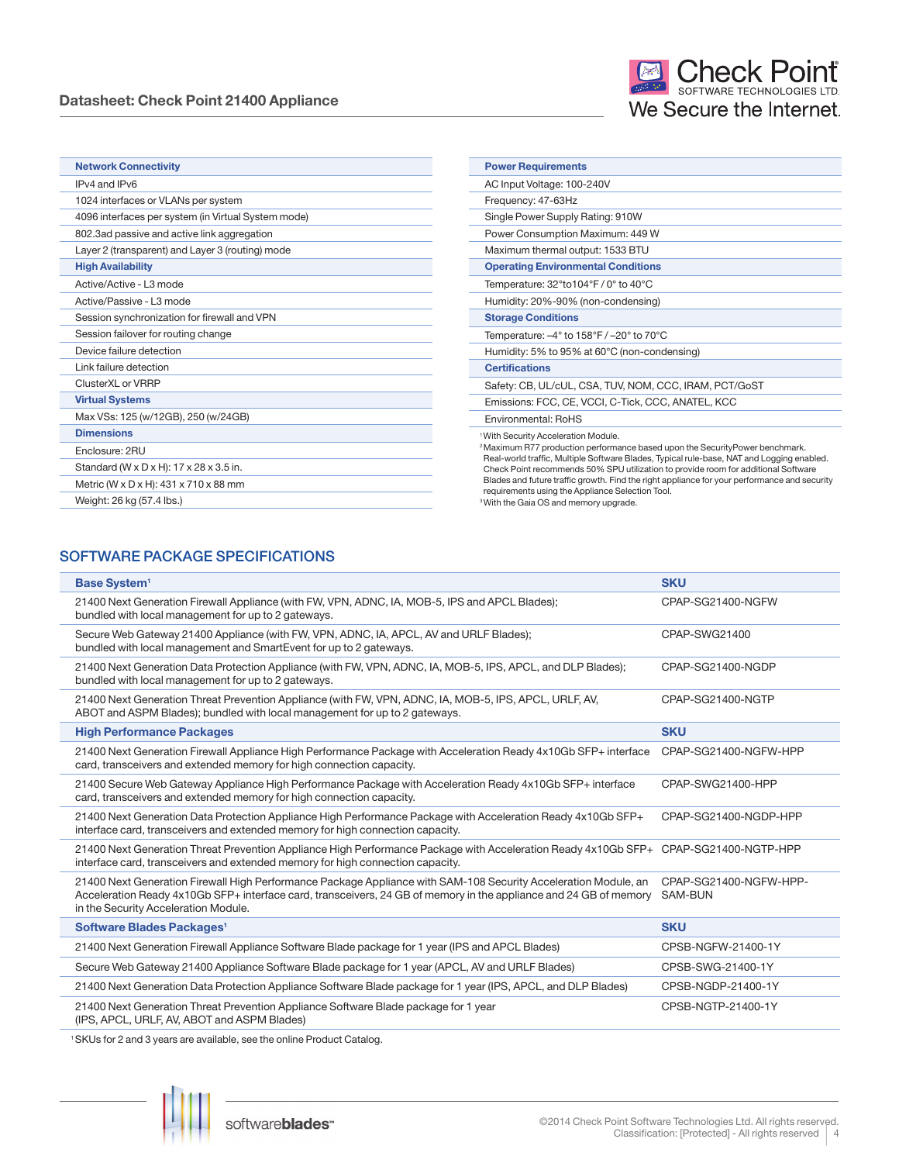#### **Datasheet: Check Point 21400 Appliance**

| <b>Network Connectivity</b>                         | <b>Power Requirements</b>                                                                                                                                                                             |  |
|-----------------------------------------------------|-------------------------------------------------------------------------------------------------------------------------------------------------------------------------------------------------------|--|
| IPv4 and IPv6                                       | AC Input Voltage: 100-240V                                                                                                                                                                            |  |
| 1024 interfaces or VLANs per system                 | Frequency: 47-63Hz                                                                                                                                                                                    |  |
| 4096 interfaces per system (in Virtual System mode) | Single Power Supply Rating: 910W                                                                                                                                                                      |  |
| 802.3ad passive and active link aggregation         | Power Consumption Maximum: 449 W                                                                                                                                                                      |  |
| Layer 2 (transparent) and Layer 3 (routing) mode    | Maximum thermal output: 1533 BTU                                                                                                                                                                      |  |
| <b>High Availability</b>                            | <b>Operating Environmental Conditions</b>                                                                                                                                                             |  |
| Active/Active - L3 mode                             | Temperature: 32°to104°F / 0° to 40°C                                                                                                                                                                  |  |
| Active/Passive - L3 mode                            | Humidity: 20%-90% (non-condensing)                                                                                                                                                                    |  |
| Session synchronization for firewall and VPN        | <b>Storage Conditions</b>                                                                                                                                                                             |  |
| Session failover for routing change                 | Temperature: $-4^{\circ}$ to 158°F / $-20^{\circ}$ to 70°C                                                                                                                                            |  |
| Device failure detection                            | Humidity: 5% to 95% at 60°C (non-condensing)                                                                                                                                                          |  |
| Link failure detection                              | <b>Certifications</b>                                                                                                                                                                                 |  |
| ClusterXL or VRRP                                   | Safety: CB, UL/cUL, CSA, TUV, NOM, CCC, IRAM, PCT/GoST                                                                                                                                                |  |
| <b>Virtual Systems</b>                              | Emissions: FCC, CE, VCCI, C-Tick, CCC, ANATEL, KCC                                                                                                                                                    |  |
| Max VSs: 125 (w/12GB), 250 (w/24GB)                 | Environmental: RoHS                                                                                                                                                                                   |  |
| <b>Dimensions</b>                                   | <sup>1</sup> With Security Acceleration Module.                                                                                                                                                       |  |
| Enclosure: 2RU                                      | <sup>2</sup> Maximum R77 production performance based upon the SecurityPower benchmark.<br>Real-world traffic, Multiple Software Blades, Typical rule-base, NAT and Logging enabled.                  |  |
| Standard (W x D x H): 17 x 28 x 3.5 in.             | Check Point recommends 50% SPU utilization to provide room for additional Software                                                                                                                    |  |
| Metric (W x D x H): 431 x 710 x 88 mm               | Blades and future traffic growth. Find the right appliance for your performance and security<br>requirements using the Appliance Selection Tool.<br><sup>3</sup> With the Gaia OS and memory upgrade. |  |
| Weight: 26 kg (57.4 lbs.)                           |                                                                                                                                                                                                       |  |

#### SOFTWARE PACKAGE SPECIFICATIONS

| <b>Base System<sup>1</sup></b>                                                                                                                                                                                                                                               | <b>SKU</b>                               |
|------------------------------------------------------------------------------------------------------------------------------------------------------------------------------------------------------------------------------------------------------------------------------|------------------------------------------|
| 21400 Next Generation Firewall Appliance (with FW, VPN, ADNC, IA, MOB-5, IPS and APCL Blades);<br>bundled with local management for up to 2 gateways.                                                                                                                        | CPAP-SG21400-NGFW                        |
| Secure Web Gateway 21400 Appliance (with FW, VPN, ADNC, IA, APCL, AV and URLF Blades);<br>bundled with local management and SmartEvent for up to 2 gateways.                                                                                                                 | CPAP-SWG21400                            |
| 21400 Next Generation Data Protection Appliance (with FW, VPN, ADNC, IA, MOB-5, IPS, APCL, and DLP Blades);<br>bundled with local management for up to 2 gateways.                                                                                                           | CPAP-SG21400-NGDP                        |
| 21400 Next Generation Threat Prevention Appliance (with FW, VPN, ADNC, IA, MOB-5, IPS, APCL, URLF, AV,<br>ABOT and ASPM Blades); bundled with local management for up to 2 gateways.                                                                                         | CPAP-SG21400-NGTP                        |
| <b>High Performance Packages</b>                                                                                                                                                                                                                                             | <b>SKU</b>                               |
| 21400 Next Generation Firewall Appliance High Performance Package with Acceleration Ready 4x10Gb SFP+ interface<br>card, transceivers and extended memory for high connection capacity.                                                                                      | CPAP-SG21400-NGFW-HPP                    |
| 21400 Secure Web Gateway Appliance High Performance Package with Acceleration Ready 4x10Gb SFP+ interface<br>card, transceivers and extended memory for high connection capacity.                                                                                            | CPAP-SWG21400-HPP                        |
| 21400 Next Generation Data Protection Appliance High Performance Package with Acceleration Ready 4x10Gb SFP+<br>interface card, transceivers and extended memory for high connection capacity.                                                                               | CPAP-SG21400-NGDP-HPP                    |
| 21400 Next Generation Threat Prevention Appliance High Performance Package with Acceleration Ready 4x10Gb SFP+ CPAP-SG21400-NGTP-HPP<br>interface card, transceivers and extended memory for high connection capacity.                                                       |                                          |
| 21400 Next Generation Firewall High Performance Package Appliance with SAM-108 Security Acceleration Module, an<br>Acceleration Ready 4x10Gb SFP+ interface card, transceivers, 24 GB of memory in the appliance and 24 GB of memory<br>in the Security Acceleration Module. | CPAP-SG21400-NGFW-HPP-<br><b>SAM-BUN</b> |
| Software Blades Packages <sup>1</sup>                                                                                                                                                                                                                                        | <b>SKU</b>                               |
| 21400 Next Generation Firewall Appliance Software Blade package for 1 year (IPS and APCL Blades)                                                                                                                                                                             | CPSB-NGFW-21400-1Y                       |
| Secure Web Gateway 21400 Appliance Software Blade package for 1 year (APCL, AV and URLF Blades)                                                                                                                                                                              | CPSB-SWG-21400-1Y                        |
| 21400 Next Generation Data Protection Appliance Software Blade package for 1 year (IPS, APCL, and DLP Blades)                                                                                                                                                                | CPSB-NGDP-21400-1Y                       |
| 21400 Next Generation Threat Prevention Appliance Software Blade package for 1 year<br>(IPS, APCL, URLF, AV, ABOT and ASPM Blades)                                                                                                                                           | CPSB-NGTP-21400-1Y                       |

1 SKUs for 2 and 3 years are available, see the online Product Catalog.